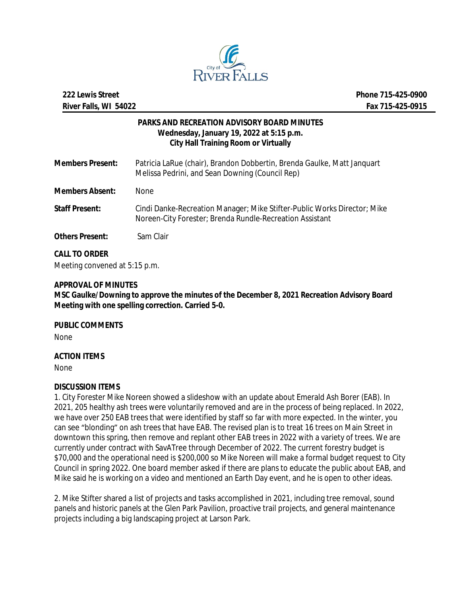

# **PARKS AND RECREATION ADVISORY BOARD MINUTES Wednesday, January 19, 2022 at 5:15 p.m. City Hall Training Room or Virtually**

| <b>Members Present:</b> | Patricia LaRue (chair), Brandon Dobbertin, Brenda Gaulke, Matt Janguart<br>Melissa Pedrini, and Sean Downing (Council Rep)           |
|-------------------------|--------------------------------------------------------------------------------------------------------------------------------------|
| <b>Members Absent:</b>  | <b>None</b>                                                                                                                          |
| <b>Staff Present:</b>   | Cindi Danke-Recreation Manager; Mike Stifter-Public Works Director; Mike<br>Noreen-City Forester; Brenda Rundle-Recreation Assistant |
| <b>Others Present:</b>  | Sam Clair                                                                                                                            |

**CALL TO ORDER** Meeting convened at 5:15 p.m.

## **APPROVAL OF MINUTES**

**MSC Gaulke/Downing to approve the minutes of the December 8, 2021 Recreation Advisory Board Meeting with one spelling correction. Carried 5-0.**

**PUBLIC COMMENTS**

None

## **ACTION ITEMS**

None

# **DISCUSSION ITEMS**

1. City Forester Mike Noreen showed a slideshow with an update about Emerald Ash Borer (EAB). In 2021, 205 healthy ash trees were voluntarily removed and are in the process of being replaced. In 2022, we have over 250 EAB trees that were identified by staff so far with more expected. In the winter, you can see "blonding" on ash trees that have EAB. The revised plan is to treat 16 trees on Main Street in downtown this spring, then remove and replant other EAB trees in 2022 with a variety of trees. We are currently under contract with SavATree through December of 2022. The current forestry budget is \$70,000 and the operational need is \$200,000 so Mike Noreen will make a formal budget request to City Council in spring 2022. One board member asked if there are plans to educate the public about EAB, and Mike said he is working on a video and mentioned an Earth Day event, and he is open to other ideas.

2. Mike Stifter shared a list of projects and tasks accomplished in 2021, including tree removal, sound panels and historic panels at the Glen Park Pavilion, proactive trail projects, and general maintenance projects including a big landscaping project at Larson Park.